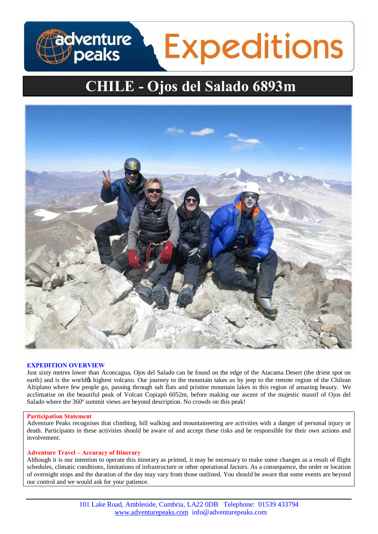# adventure<br>J peaks **Expeditions**

# **CHILE - Ojos del Salado 6893m**



# **EXPEDITION OVERVIEW**

Just sixty metres lower than Aconcagua, Ojos del Salado can be found on the edge of the Atacama Desert (the driest spot on earth) and is the worldgs highest volcano. Our journey to the mountain takes us by jeep to the remote region of the Chilean Altiplano where few people go, passing through salt flats and pristine mountain lakes in this region of amazing beauty. We acclimatise on the beautiful peak of Volcan Copiapó 6052m, before making our ascent of the majestic massif of Ojos del Salado where the 360º summit views are beyond description. No crowds on this peak!

# **Participation Statement**

Adventure Peaks recognises that climbing, hill walking and mountaineering are activities with a danger of personal injury or death. Participants in these activities should be aware of and accept these risks and be responsible for their own actions and involvement.

# **Adventure Travel – Accuracy of Itinerary**

Although it is our intention to operate this itinerary as printed, it may be necessary to make some changes as a result of flight schedules, climatic conditions, limitations of infrastructure or other operational factors. As a consequence, the order or location of overnight stops and the duration of the day may vary from those outlined. You should be aware that some events are beyond our control and we would ask for your patience.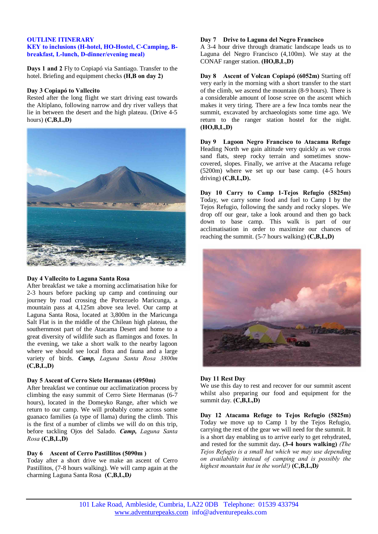# **OUTLINE ITINERARY**

# **KEY to inclusions (H-hotel, HO-Hostel, C-Camping, Bbreakfast, L-lunch, D-dinner/evening meal)**

**Days 1 and 2** Fly to Copiapó via Santiago. Transfer to the hotel. Briefing and equipment checks **(H,B on day 2)**

#### **Day 3 Copiapó to Vallecito**

Rested after the long flight we start driving east towards the Altiplano, following narrow and dry river valleys that lie in between the desert and the high plateau. (Drive 4-5 hours) **(C,B,L,D)**



# **Day 4 Vallecito to Laguna Santa Rosa**

After breakfast we take a morning acclimatisation hike for 2-3 hours before packing up camp and continuing our journey by road crossing the Portezuelo Maricunga, a mountain pass at 4,125m above sea level. Our camp at Laguna Santa Rosa, located at 3,800m in the Maricunga Salt Flat is in the middle of the Chilean high plateau, the southernmost part of the Atacama Desert and home to a great diversity of wildlife such as flamingos and foxes. In the evening, we take a short walk to the nearby lagoon where we should see local flora and fauna and a large variety of birds. *Camp, Laguna Santa Rosa 3800m* **(C,B,L,D)**

# **Day 5 Ascent of Cerro Siete Hermanas (4950m)**

After breakfast we continue our acclimatization process by climbing the easy summit of Cerro Siete Hermanas (6-7 hours), located in the Domeyko Range, after which we return to our camp. We will probably come across some guanaco families (a type of llama) during the climb. This is the first of a number of climbs we will do on this trip, before tackling Ojos del Salado. *Camp, Laguna Santa Rosa* **(C,B,L,D)**

# **Day 6 Ascent of Cerro Pastillitos (5090m )**

Today after a short drive we make an ascent of Cerro Pastillitos, (7-8 hours walking). We will camp again at the charming Laguna Santa Rosa **(C,B,L,D***)*

# **Day 7 Drive to Laguna del Negro Francisco**

A 3-4 hour drive through dramatic landscape leads us to Laguna del Negro Francisco (4,100m). We stay at the CONAF ranger station. **(HO,B,L,D)**

**Day 8 Ascent of Volcan Copiapó (6052m)** Starting off very early in the morning with a short transfer to the start of the climb, we ascend the mountain (8-9 hours). There is a considerable amount of loose scree on the ascent which makes it very tiring. There are a few Inca tombs near the summit, excavated by archaeologists some time ago. We return to the ranger station hostel for the night. **(HO,B,L,D)**

**Day 9 Lagoon Negro Francisco to Atacama Refuge** Heading North we gain altitude very quickly as we cross sand flats, steep rocky terrain and sometimes snowcovered, slopes. Finally, we arrive at the Atacama refuge (5200m) where we set up our base camp. (4-5 hours driving) **(C,B,L,D).**

**Day 10 Carry to Camp 1-Tejos Refugio (5825m)** Today, we carry some food and fuel to Camp I by the Tejos Refugio, following the sandy and rocky slopes. We drop off our gear, take a look around and then go back down to base camp. This walk is part of our acclimatisation in order to maximize our chances of reaching the summit. (5-7 hours walking) **(C,B,L,D)**



# **Day 11 Rest Day**

We use this day to rest and recover for our summit ascent whilst also preparing our food and equipment for the summit day. **(C,B,L,D)**

**Day 12 Atacama Refuge to Tejos Refugio (5825m)** Today we move up to Camp 1 by the Tejos Refugio, carrying the rest of the gear we will need for the summit. It is a short day enabling us to arrive early to get rehydrated, and rested for the summit day**. (3-4 hours walking)** *(The Tejos Refugio is a small hut which we may use depending on availability instead of camping and is possibly the highest mountain hut in the world!)* **(C,B,L,D***)*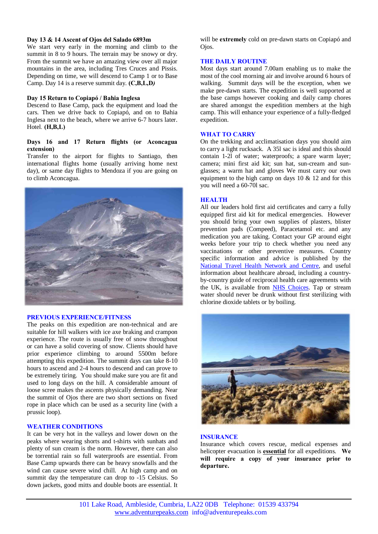# **Day 13 & 14 Ascent of Ojos del Salado 6893m**

We start very early in the morning and climb to the summit in 8 to 9 hours. The terrain may be snowy or dry. From the summit we have an amazing view over all major mountains in the area, including Tres Cruces and Pissis. Depending on time, we will descend to Camp 1 or to Base Camp. Day 14 is a reserve summit day. **(C,B,L,D***)*

#### **Day 15 Return to Copiapó / Bahia Inglesa**

Descend to Base Camp, pack the equipment and load the cars. Then we drive back to Copiapó, and on to Bahia Inglesa next to the beach, where we arrive 6-7 hours later. Hotel*.* **(H,B,L)**

## **Days 16 and 17 Return flights (or Aconcagua extension)**

Transfer to the airport for flights to Santiago, then international flights home (usually arriving home next day), or same day flights to Mendoza if you are going on to climb Aconcagua.



#### **PREVIOUS EXPERIENCE/FITNESS**

The peaks on this expedition are non-technical and are suitable for hill walkers with ice axe braking and crampon experience. The route is usually free of snow throughout or can have a solid covering of snow. Clients should have prior experience climbing to around 5500m before attempting this expedition. The summit days can take 8-10 hours to ascend and 2-4 hours to descend and can prove to be extremely tiring. You should make sure you are fit and used to long days on the hill. A considerable amount of loose scree makes the ascents physically demanding. Near the summit of Ojos there are two short sections on fixed rope in place which can be used as a security line (with a prussic loop).

# **WEATHER CONDITIONS**

It can be very hot in the valleys and lower down on the peaks where wearing shorts and t-shirts with sunhats and plenty of sun cream is the norm. However, there can also be torrential rain so full waterproofs are essential. From Base Camp upwards there can be heavy snowfalls and the wind can cause severe wind chill. At high camp and on summit day the temperature can drop to -15 Celsius. So down jackets, good mitts and double boots are essential. It will be **extremely** cold on pre-dawn starts on Copiapó and Ojos.

# **THE DAILY ROUTINE**

Most days start around 7.00am enabling us to make the most of the cool morning air and involve around 6 hours of walking. Summit days will be the exception, when we make pre-dawn starts. The expedition is well supported at the base camps however cooking and daily camp chores are shared amongst the expedition members at the high camp. This will enhance your experience of a fully-fledged expedition.

# **WHAT TO CARRY**

On the trekking and acclimatisation days you should aim to carry a light rucksack. A 35l sac is ideal and this should contain 1-2l of water; waterproofs; a spare warm layer; camera; mini first aid kit; sun hat, sun-cream and sunglasses; a warm hat and gloves We must carry our own equipment to the high camp on days  $10 \& 12$  and for this you will need a 60-70l sac.

# **HEALTH**

All our leaders hold first aid certificates and carry a fully equipped first aid kit for medical emergencies. However you should bring your own supplies of plasters, blister prevention pads (Compeed), Paracetamol etc. and any medication you are taking. Contact your GP around eight weeks before your trip to check whether you need any vaccinations or other preventive measures. Country specific information and advice is published by the [National Travel Health Network and Centre,](http://www.nathnac.org/ds/map_world.aspx) and useful information about healthcare abroad, including a countryby-country guide of reciprocal health care agreements with the UK, is available from **NHS Choices**. Tap or stream water should never be drunk without first sterilizing with chlorine dioxide tablets or by boiling.



# **INSURANCE**

Insurance which covers rescue, medical expenses and helicopter evacuation is **essential** for all expeditions. **We will require a copy of your insurance prior to departure.**